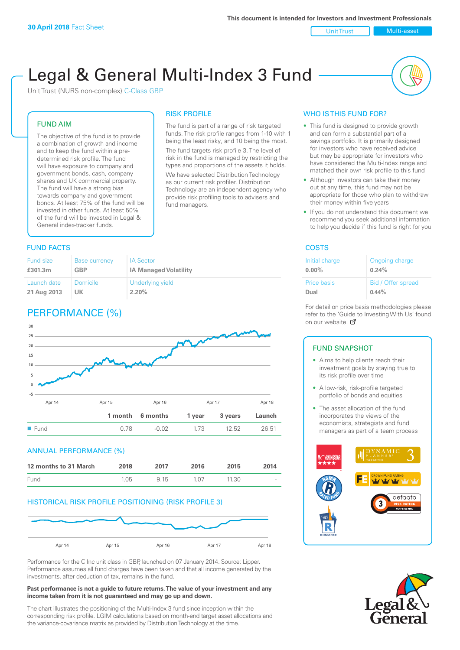Unit Trust Nulti-asset

# Legal & General Multi-Index 3 Fund

RISK PROFILE

fund managers.

The fund is part of a range of risk targeted funds. The risk profile ranges from 1-10 with 1 being the least risky, and 10 being the most. The fund targets risk profile 3. The level of risk in the fund is managed by restricting the types and proportions of the assets it holds. We have selected Distribution Technology as our current risk profiler. Distribution Technology are an independent agency who provide risk profiling tools to advisers and

Unit Trust (NURS non-complex) C-Class GBP

#### FUND AIM

The objective of the fund is to provide a combination of growth and income and to keep the fund within a predetermined risk profile. The fund will have exposure to company and government bonds, cash, company shares and UK commercial property. The fund will have a strong bias towards company and government bonds. At least 75% of the fund will be invested in other funds. At least 50% of the fund will be invested in Legal & General index-tracker funds.

#### **FUND FACTS** COSTS

| Fund size   | <b>Base currency</b> | <b>IA Sector</b>             |
|-------------|----------------------|------------------------------|
| £301.3m     | <b>GBP</b>           | <b>IA Managed Volatility</b> |
| Launch date | <b>Domicile</b>      | Underlying yield             |
| 21 Aug 2013 | UK                   | 2.20%                        |

## PERFORMANCE (%)



#### ANNUAL PERFORMANCE (%)

| 12 months to 31 March | 2018 | 2017 | 2016  | 2015  | 2014   |
|-----------------------|------|------|-------|-------|--------|
| Fund                  | 1.05 | 9 15 | 1 0 7 | 11.30 | $\sim$ |

#### HISTORICAL RISK PROFILE POSITIONING (RISK PROFILE 3)



Performance for the C Inc unit class in GBP, launched on 07 January 2014. Source: Lipper. Performance assumes all fund charges have been taken and that all income generated by the investments, after deduction of tax, remains in the fund.

#### **Past performance is not a guide to future returns. The value of your investment and any income taken from it is not guaranteed and may go up and down.**

The chart illustrates the positioning of the Multi-Index 3 fund since inception within the corresponding risk profile. LGIM calculations based on month-end target asset allocations and the variance-covariance matrix as provided by Distribution Technology at the time.

#### WHO IS THIS FUND FOR?

- This fund is designed to provide growth and can form a substantial part of a savings portfolio. It is primarily designed for investors who have received advice but may be appropriate for investors who have considered the Multi-Index range and matched their own risk profile to this fund
- Although investors can take their money out at any time, this fund may not be appropriate for those who plan to withdraw their money within five years
- If you do not understand this document we recommend you seek additional information to help you decide if this fund is right for you

| Initial charge     | Ongoing charge     |
|--------------------|--------------------|
| $0.00\%$           | 0.24%              |
| <b>Price basis</b> | Bid / Offer spread |
| Dual               | 0.44%              |

For detail on price basis methodologies please refer to the 'Gu[ide t](http://www.legalandgeneral.com/guide)o Investing With Us' found on our website. Ø

#### FUND SNAPSHOT

- Aims to help clients reach their investment goals by staying true to its risk profile over time
- A low-risk, risk-profile targeted portfolio of bonds and equities
- The asset allocation of the fund incorporates the views of the economists, strategists and fund managers as part of a team process



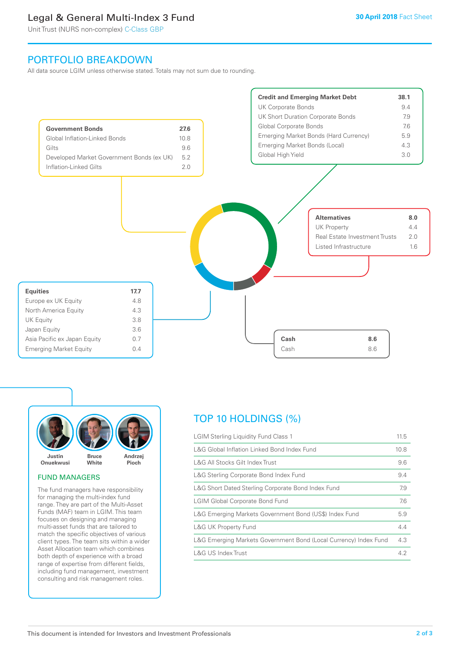## Legal & General Multi-Index 3 Fund

Unit Trust (NURS non-complex) C-Class GBP

## PORTFOLIO BREAKDOWN

All data source LGIM unless otherwise stated. Totals may not sum due to rounding.





#### FUND MANAGERS

The fund managers have responsibility for managing the multi-index fund range. They are part of the Multi-Asset Funds (MAF) team in LGIM. This team focuses on designing and managing multi-asset funds that are tailored to match the specific objectives of various client types. The team sits within a wider Asset Allocation team which combines both depth of experience with a broad range of expertise from different fields, including fund management, investment consulting and risk management roles.

## TOP 10 HOLDINGS (%)

| <b>LGIM Sterling Liquidity Fund Class 1</b>                      | 11.5 |
|------------------------------------------------------------------|------|
| L&G Global Inflation Linked Bond Index Fund                      | 10.8 |
| L&G All Stocks Gilt Index Trust                                  | 9.6  |
| L&G Sterling Corporate Bond Index Fund                           | 9.4  |
| L&G Short Dated Sterling Corporate Bond Index Fund               | 7.9  |
| <b>LGIM Global Corporate Bond Fund</b>                           | 7.6  |
| L&G Emerging Markets Government Bond (US\$) Index Fund           | 5.9  |
| <b>L&amp;G UK Property Fund</b>                                  | 4.4  |
| L&G Emerging Markets Government Bond (Local Currency) Index Fund | 4.3  |
| L&G US Index Trust                                               | 4.2  |